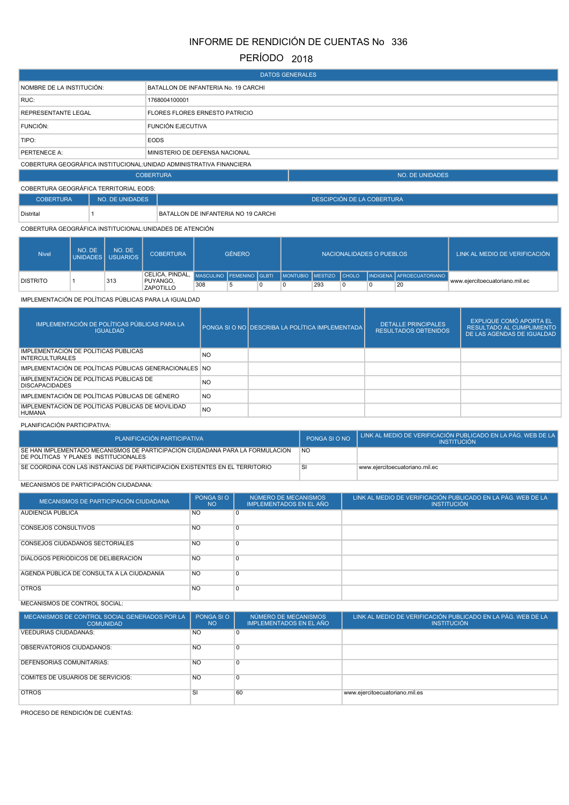# INFORME DE RENDICIÓN DE CUENTAS No 336

# PERÍODO 2018

| <b>DATOS GENERALES</b>                                               |                                       |                        |  |  |  |  |
|----------------------------------------------------------------------|---------------------------------------|------------------------|--|--|--|--|
| NOMBRE DE LA INSTITUCIÓN:                                            | BATALLON DE INFANTERIA No. 19 CARCHI  |                        |  |  |  |  |
| RUC:                                                                 | 1768004100001                         |                        |  |  |  |  |
| <b>REPRESENTANTE LEGAL</b>                                           | <b>FLORES FLORES ERNESTO PATRICIO</b> |                        |  |  |  |  |
| <b>FUNCIÓN:</b>                                                      | <b>FUNCIÓN EJECUTIVA</b>              |                        |  |  |  |  |
| TIPO:                                                                | <b>EODS</b>                           |                        |  |  |  |  |
| PERTENECE A:                                                         | MINISTERIO DE DEFENSA NACIONAL        |                        |  |  |  |  |
| COBERTURA GEOGRÁFICA INSTITUCIONAL: UNIDAD ADMINISTRATIVA FINANCIERA |                                       |                        |  |  |  |  |
|                                                                      | <b>COBERTURA</b>                      | <b>NO. DE UNIDADES</b> |  |  |  |  |
| <b>COBERTURA GEOGRÁFICA TERRITORIAL EODS:</b>                        |                                       |                        |  |  |  |  |

| <b>COBERTURA</b> | NO. DE UNIDADES | DESCIPCIÓN DE LA COBERTURA          |  |  |  |
|------------------|-----------------|-------------------------------------|--|--|--|
| Distrital        |                 | BATALLON DE INFANTERIA NO 19 CARCHI |  |  |  |

## COBERTURA GEOGRÁFICA INSTITUCIONAL:UNIDADES DE ATENCIÓN

| <b>Nivel</b>    | NO. DE | NO. DE<br>UNIDADES I USUARIOS | <b>COBERTURA</b>             | <b>GÉNERO</b> |  | NACIONALIDADES O PUEBLOS |     |  |  | LINK AL MEDIO DE VERIFICACIÓN "                                                              |                                |
|-----------------|--------|-------------------------------|------------------------------|---------------|--|--------------------------|-----|--|--|----------------------------------------------------------------------------------------------|--------------------------------|
|                 |        |                               |                              |               |  |                          |     |  |  | CELICA, PINDAL, MASCULINO FEMENINO GLBTI   MONTUBIO MESTIZO CHOLO   INDIGENA AFROECUATORIANO |                                |
| <b>DISTRITO</b> |        | 313                           | PUYANGO,<br><b>ZAPOTILLO</b> | 308           |  |                          | 293 |  |  | 20                                                                                           | www.eiercitoecuatoriano.mil.ec |

## IMPLEMENTACIÓN DE POLÍTICAS PÚBLICAS PARA LA IGUALDAD

| IMPLEMENTACIÓN DE POLÍTICAS PÚBLICAS PARA LA<br><b>IGUALDAD</b>    |                | PONGA SI O NO DESCRIBA LA POLÍTICA IMPLEMENTADA | <b>DETALLE PRINCIPALES</b><br><b>RESULTADOS OBTENIDOS</b> | EXPLIQUE COMÓ APORTA EL<br><b>RESULTADO AL CUMPLIMIENTO</b><br>DE LAS AGENDAS DE IGUALDAD |
|--------------------------------------------------------------------|----------------|-------------------------------------------------|-----------------------------------------------------------|-------------------------------------------------------------------------------------------|
| IMPLEMENTACIÓN DE POLÍTICAS PÚBLICAS<br><b>INTERCULTURALES</b>     | NO.            |                                                 |                                                           |                                                                                           |
| IMPLEMENTACIÓN DE POLÍTICAS PÚBLICAS GENERACIONALES NO             |                |                                                 |                                                           |                                                                                           |
| IMPLEMENTACIÓN DE POLÍTICAS PÚBLICAS DE<br><b>DISCAPACIDADES</b>   | <b>NO</b>      |                                                 |                                                           |                                                                                           |
| IMPLEMENTACIÓN DE POLÍTICAS PÚBLICAS DE GÉNERO                     | <b>NO</b>      |                                                 |                                                           |                                                                                           |
| IMPLEMENTACIÓN DE POLÍTICAS PÚBLICAS DE MOVILIDAD<br><b>HUMANA</b> | N <sub>O</sub> |                                                 |                                                           |                                                                                           |

#### PLANIFICACIÓN PARTICIPATIVA:

| PLANIFICACIÓN PARTICIPATIVA                                                                                            | PONGA SI O NO | LINK AL MEDIO DE VERIFICACIÓN PUBLICADO EN LA PÁG. WEB DE LA I<br><b>INSTITUCIÓN</b> |
|------------------------------------------------------------------------------------------------------------------------|---------------|--------------------------------------------------------------------------------------|
| SE HAN IMPLEMENTADO MECANISMOS DE PARTICIPACIÓN CIUDADANA PARA LA FORMULACIÓN<br>DE POLÍTICAS Y PLANES INSTITUCIONALES | <b>NO</b>     |                                                                                      |
| SE COORDINA CON LAS INSTANCIAS DE PARTICIPACIÓN EXISTENTES EN EL TERRITORIO                                            |               | www.eiercitoecuatoriano.mil.ec                                                       |

## MECANISMOS DE PARTICIPACIÓN CIUDADANA:

| MECANISMOS DE PARTICIPACIÓN CIUDADANA      | PONGA SI O<br><b>NO</b> | NÚMERO DE MECANISMOS<br>IMPLEMENTADOS EN EL AÑO | LINK AL MEDIO DE VERIFICACIÓN PUBLICADO EN LA PÁG. WEB DE LA<br><b>INSTITUCIÓN</b> |
|--------------------------------------------|-------------------------|-------------------------------------------------|------------------------------------------------------------------------------------|
| AUDIENCIA PUBLICA                          | <b>NO</b>               | 0                                               |                                                                                    |
| <b>CONSEJOS CONSULTIVOS</b>                | <b>NO</b>               | $\Omega$                                        |                                                                                    |
| <b>CONSEJOS CIUDADANOS SECTORIALES</b>     | N <sub>O</sub>          | $\Omega$                                        |                                                                                    |
| DIALOGOS PERIÓDICOS DE DELIBERACIÓN        | N <sub>O</sub>          | $\Omega$                                        |                                                                                    |
| AGENDA PUBLICA DE CONSULTA A LA CIUDADANÍA | N <sub>O</sub>          | $\Omega$                                        |                                                                                    |
| <b>OTROS</b>                               | <b>NO</b>               | $\Omega$                                        |                                                                                    |

# MECANISMOS DE CONTROL SOCIAL:

| MECANISMOS DE CONTROL SOCIAL GENERADOS POR LA<br><b>COMUNIDAD</b> | PONGA SI O<br><b>NO</b> | NÚMERO DE MECANISMOS<br><b>IMPLEMENTADOS EN EL AÑO</b> | LINK AL MEDIO DE VERIFICACIÓN PUBLICADO EN LA PÁG. WEB DE LA<br><b>INSTITUCIÓN</b> |
|-------------------------------------------------------------------|-------------------------|--------------------------------------------------------|------------------------------------------------------------------------------------|
| <b>VEEDURÍAS CIUDADANAS:</b>                                      | <b>NO</b>               | 0                                                      |                                                                                    |
| OBSERVATORIOS CIUDADANOS:                                         | N <sub>O</sub>          | 0                                                      |                                                                                    |
| DEFENSORÍAS COMUNITARIAS:                                         | <b>NO</b>               | 0                                                      |                                                                                    |
| <b>COMITÉS DE USUARIOS DE SERVICIOS:</b>                          | <b>NO</b>               | $\Omega$                                               |                                                                                    |
| <b>OTROS</b>                                                      | <sub>SI</sub>           | 60                                                     | www.ejercitoecuatoriano.mil.es                                                     |

PROCESO DE RENDICIÓN DE CUENTAS: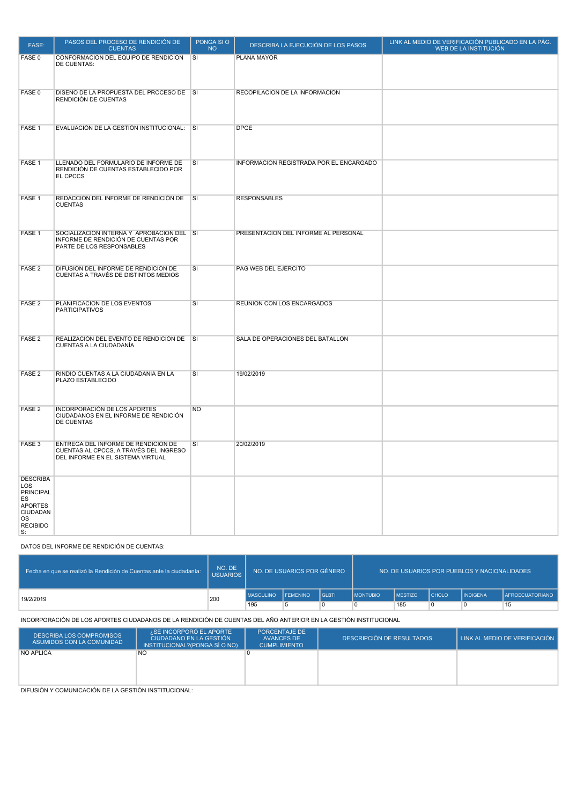| FASE:                                                                                                                       | PASOS DEL PROCESO DE RENDICIÓN DE<br><b>CUENTAS</b>                                                                | PONGA SIO<br><b>NO</b>  | DESCRIBA LA EJECUCIÓN DE LOS PASOS      | LINK AL MEDIO DE VERIFICACIÓN PUBLICADO EN LA PÁG.<br>WEB DE LA INSTITUCIÓN |
|-----------------------------------------------------------------------------------------------------------------------------|--------------------------------------------------------------------------------------------------------------------|-------------------------|-----------------------------------------|-----------------------------------------------------------------------------|
| FASE 0                                                                                                                      | CONFORMACIÓN DEL EQUIPO DE RENDICIÓN<br>DE CUENTAS:                                                                | <b>SI</b>               | PLANA MAYOR                             |                                                                             |
| FASE 0                                                                                                                      | DISEÑO DE LA PROPUESTA DEL PROCESO DE SI<br>RENDICIÓN DE CUENTAS                                                   |                         | RECOPILACION DE LA INFORMACION          |                                                                             |
| FASE 1                                                                                                                      | EVALUACIÓN DE LA GESTIÓN INSTITUCIONAL:                                                                            | $\overline{\mathsf{S}}$ | <b>DPGE</b>                             |                                                                             |
| FASE <sub>1</sub>                                                                                                           | LLENADO DEL FORMULARIO DE INFORME DE<br>RENDICIÓN DE CUENTAS ESTABLECIDO POR<br>EL CPCCS                           | SI                      | INFORMACION REGISTRADA POR EL ENCARGADO |                                                                             |
| FASE 1                                                                                                                      | REDACCIÓN DEL INFORME DE RENDICIÓN DE<br><b>CUENTAS</b>                                                            | SI                      | <b>RESPONSABLES</b>                     |                                                                             |
| FASE 1                                                                                                                      | SOCIALIZACIÓN INTERNA Y APROBACIÓN DEL SI<br>INFORME DE RENDICIÓN DE CUENTAS POR<br>PARTE DE LOS RESPONSABLES      |                         | PRESENTACION DEL INFORME AL PERSONAL    |                                                                             |
| FASE <sub>2</sub>                                                                                                           | DIFUSIÓN DEL INFORME DE RENDICIÓN DE<br>CUENTAS A TRAVÉS DE DISTINTOS MEDIOS                                       | SI                      | PAG WEB DEL EJERCITO                    |                                                                             |
| FASE <sub>2</sub>                                                                                                           | PLANIFICACIÓN DE LOS EVENTOS<br><b>PARTICIPATIVOS</b>                                                              | SI                      | REUNION CON LOS ENCARGADOS              |                                                                             |
| FASE <sub>2</sub>                                                                                                           | REALIZACIÓN DEL EVENTO DE RENDICIÓN DE<br>CUENTAS A LA CIUDADANÍA                                                  | $\overline{\mathsf{S}}$ | SALA DE OPERACIONES DEL BATALLON        |                                                                             |
| FASE <sub>2</sub>                                                                                                           | RINDIÓ CUENTAS A LA CIUDADANÍA EN LA<br>PLAZO ESTABLECIDO                                                          | SI                      | 19/02/2019                              |                                                                             |
| FASE <sub>2</sub>                                                                                                           | <b>INCORPORACIÓN DE LOS APORTES</b><br>CIUDADANOS EN EL INFORME DE RENDICIÓN<br><b>DE CUENTAS</b>                  | <b>NO</b>               |                                         |                                                                             |
| FASE <sub>3</sub>                                                                                                           | ENTREGA DEL INFORME DE RENDICIÓN DE<br>CUENTAS AL CPCCS, A TRAVÉS DEL INGRESO<br>DEL INFORME EN EL SISTEMA VIRTUAL | SI                      | 20/02/2019                              |                                                                             |
| <b>DESCRIBA</b><br>LOS<br><b>PRINCIPAL</b><br>ES<br><b>APORTES</b><br><b>CIUDADAN</b><br><b>OS</b><br><b>RECIBIDO</b><br>S: |                                                                                                                    |                         |                                         |                                                                             |

#### DATOS DEL INFORME DE RENDICIÓN DE CUENTAS:

| Fecha en que se realizó la Rendición de Cuentas ante la ciudadanía: | NO. DE<br><b>USUARIOS</b> |                  | I NO. DE USUARIOS POR GÉNERO |         |                   | NO. DE USUARIOS POR PUEBLOS Y NACIONALIDADES |              |                 |                        |  |
|---------------------------------------------------------------------|---------------------------|------------------|------------------------------|---------|-------------------|----------------------------------------------|--------------|-----------------|------------------------|--|
| 19/2/2019                                                           | 200                       | <b>MASCULINO</b> | <b>FEMENINO</b>              | l glbti | <b>I MONTUBIO</b> | <b>MESTIZO</b>                               | <b>CHOLO</b> | <b>INDIGENA</b> | <b>AFROECUATORIANO</b> |  |
|                                                                     |                           | 195              |                              | 0       |                   | 185                                          |              |                 | 15                     |  |

INCORPORACIÓN DE LOS APORTES CIUDADANOS DE LA RENDICIÓN DE CUENTAS DEL AÑO ANTERIOR EN LA GESTIÓN INSTITUCIONAL

| <b>DESCRIBA LOS COMPROMISOS</b><br>ASUMIDOS CON LA COMUNIDAD | i ¿SE INCORPORÓ EL APORTE `<br>CIUDADANO EN LA GESTIÓN<br>INSTITUCIONAL?(PONGA SÍ O NO) | <b>PORCENTAJE DE</b><br>AVANCES DE<br><b>CUMPLIMIENTO</b> | DESCRIPCIÓN DE RESULTADOS | LINK AL MEDIO DE VERIFICACIÓN |
|--------------------------------------------------------------|-----------------------------------------------------------------------------------------|-----------------------------------------------------------|---------------------------|-------------------------------|
| <b>NO APLICA</b>                                             | <b>NO</b>                                                                               |                                                           |                           |                               |
|                                                              |                                                                                         |                                                           |                           |                               |
|                                                              |                                                                                         |                                                           |                           |                               |
|                                                              |                                                                                         |                                                           |                           |                               |
|                                                              |                                                                                         |                                                           |                           |                               |

DIFUSIÓN Y COMUNICACIÓN DE LA GESTIÓN INSTITUCIONAL: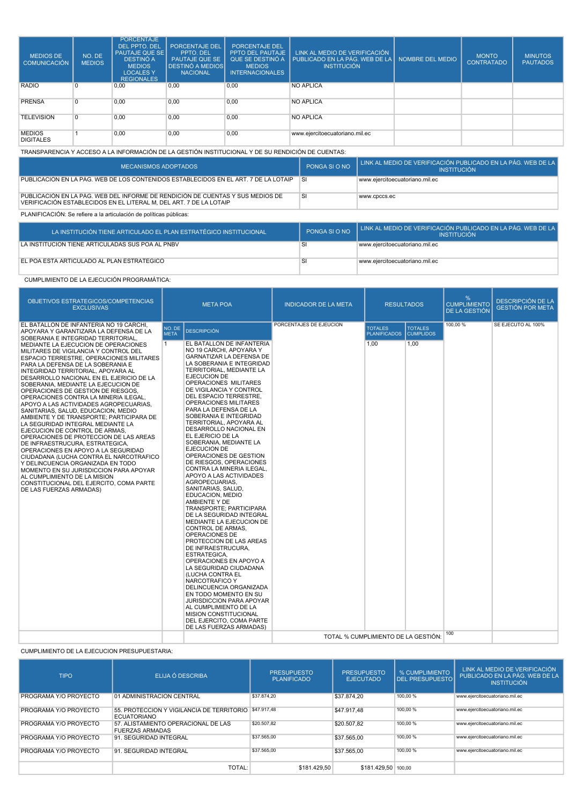| <b>MEDIOS DE</b><br><b>COMUNICACIÓN</b>                                                           | NO. DE<br><b>MEDIOS</b> | <b>PORCENTAJE</b><br>DEL PPTO, DEL<br><b>PAUTAJE QUE SE</b><br>DESTINÓ A<br><b>MEDIOS</b><br><b>LOCALES Y</b><br><b>REGIONALES</b> | <b>PORCENTAJE DEL</b><br>PPTO. DEL<br><b>PAUTAJE QUE SE</b><br><b>DESTINÓ A MEDIOS</b><br><b>NACIONAL</b> | <b>PORCENTAJE DEL</b><br>PPTO DEL PAUTAJE<br>QUE SE DESTINÓ A<br><b>MEDIOS</b><br><b>INTERNACIONALES</b> | LINK AL MEDIO DE VERIFICACIÓN<br>PUBLICADO EN LA PÁG. WEB DE LA I<br><b>INSTITUCIÓN</b> | NOMBRE DEL MEDIO | <b>MONTO</b><br><b>CONTRATADO</b> | <b>MINUTOS</b><br><b>PAUTADOS</b> |
|---------------------------------------------------------------------------------------------------|-------------------------|------------------------------------------------------------------------------------------------------------------------------------|-----------------------------------------------------------------------------------------------------------|----------------------------------------------------------------------------------------------------------|-----------------------------------------------------------------------------------------|------------------|-----------------------------------|-----------------------------------|
| <b>RADIO</b>                                                                                      | $\Omega$                | 0,00                                                                                                                               | 0.00                                                                                                      | 0.00                                                                                                     | <b>NO APLICA</b>                                                                        |                  |                                   |                                   |
| <b>PRENSA</b>                                                                                     | $\Omega$                | 0,00                                                                                                                               | 0,00                                                                                                      | 0,00                                                                                                     | <b>NO APLICA</b>                                                                        |                  |                                   |                                   |
| <b>TELEVISIÓN</b>                                                                                 | $\Omega$                | 0,00                                                                                                                               | 0,00                                                                                                      | 0,00                                                                                                     | <b>NO APLICA</b>                                                                        |                  |                                   |                                   |
| <b>MEDIOS</b><br><b>DIGITALES</b>                                                                 |                         | 0.00                                                                                                                               | 0,00                                                                                                      | 0,00                                                                                                     | www.ejercitoecuatoriano.mil.ec                                                          |                  |                                   |                                   |
| TRANSPARENCIA Y ACCESO A LA INFORMACIÓN DE LA GESTIÓN INSTITUCIONAL Y DE SU RENDICIÓN DE CUENTAS: |                         |                                                                                                                                    |                                                                                                           |                                                                                                          |                                                                                         |                  |                                   |                                   |

| MECANISMOS ADOPTADOS                                                                                                                                 | PONGA SI O NO | LINK AL MEDIO DE VERIFICACIÓN PUBLICADO EN LA PÁG. WEB DE LA<br><b>INSTITUCIÓN</b> |
|------------------------------------------------------------------------------------------------------------------------------------------------------|---------------|------------------------------------------------------------------------------------|
| PUBLICACIÓN EN LA PÁG. WEB DE LOS CONTENIDOS ESTABLECIDOS EN EL ART. 7 DE LA LOTAIP                                                                  | <b>SI</b>     | www.ejercitoecuatoriano.mil.ec                                                     |
| PUBLICACIÓN EN LA PÁG. WEB DEL INFORME DE RENDICIÓN DE CUENTAS Y SUS MEDIOS DE<br>VERIFICACIÓN ESTABLECIDOS EN EL LITERAL M, DEL ART. 7 DE LA LOTAIP | <b>SI</b>     | www.cpccs.ec                                                                       |
| PLANIFICACIÓN: Se refiere a la articulación de políticas públicas:                                                                                   |               |                                                                                    |

| LA INSTITUCIÓN TIENE ARTICULADO EL PLAN ESTRATÉGICO INSTITUCIONAL | PONGA SI O NO | LINK AL MEDIO DE VERIFICACIÓN PUBLICADO EN LA PÁG. WEB DE LA B<br><b>INSTITUCIÓN</b> |
|-------------------------------------------------------------------|---------------|--------------------------------------------------------------------------------------|
| LA INSTITUCIÓN TIENE ARTICULADAS SUS POA AL PNBV                  |               | www.eiercitoecuatoriano.mil.ec                                                       |
| EL POA ESTÁ ARTICULADO AL PLAN ESTRATÉGICO                        |               | ↓www.ejercitoecuatoriano.mil.ec                                                      |

## CUMPLIMIENTO DE LA EJECUCIÓN PROGRAMÁTICA:

| <b>OBJETIVOS ESTRATEGICOS/COMPETENCIAS</b><br><b>EXCLUSIVAS</b>                                                                                                                                                                                                                                                                                                                                                                                                                                                                                                                                                                                                                                                                                                                                                                                                                                                                                                                                                                                            | <b>META POA</b>                         |                                                                                                                                                                                                                                                                                                                                                                                                                                                                                                                                                                                                                                                                                                                                                                                                                                                                                                                                                                                                                                                                                                                                                                   | <b>INDICADOR DE LA META</b>                                    | <b>RESULTADOS</b>                             |                                            | %<br><b>CUMPLIMIENTO</b><br>DE LA GESTIÓN | <b>DESCRIPCIÓN DE LA</b><br><b>GESTIÓN POR META</b> |
|------------------------------------------------------------------------------------------------------------------------------------------------------------------------------------------------------------------------------------------------------------------------------------------------------------------------------------------------------------------------------------------------------------------------------------------------------------------------------------------------------------------------------------------------------------------------------------------------------------------------------------------------------------------------------------------------------------------------------------------------------------------------------------------------------------------------------------------------------------------------------------------------------------------------------------------------------------------------------------------------------------------------------------------------------------|-----------------------------------------|-------------------------------------------------------------------------------------------------------------------------------------------------------------------------------------------------------------------------------------------------------------------------------------------------------------------------------------------------------------------------------------------------------------------------------------------------------------------------------------------------------------------------------------------------------------------------------------------------------------------------------------------------------------------------------------------------------------------------------------------------------------------------------------------------------------------------------------------------------------------------------------------------------------------------------------------------------------------------------------------------------------------------------------------------------------------------------------------------------------------------------------------------------------------|----------------------------------------------------------------|-----------------------------------------------|--------------------------------------------|-------------------------------------------|-----------------------------------------------------|
| EL BATALLON DE INFANTERIA NO 19 CARCHI.<br>APOYARA Y GARANTIZARA LA DEFENSA DE LA<br>SOBERANIA E INTEGRIDAD TERRITORIAL,<br>MEDIANTE LA EJECUCION DE OPERACIONES<br>MILITARES DE VIGILANCIA Y CONTROL DEL<br>ESPACIO TERRESTRE. OPERACIONES MILITARES<br>PARA LA DEFENSA DE LA SOBERANIA E<br>INTEGRIDAD TERRITORIAL, APOYARA AL<br>DESARROLLO NACIONAL EN EL EJERICIO DE LA<br>SOBERANIA, MEDIANTE LA EJECUCION DE<br>OPERACIONES DE GESTION DE RIESGOS,<br>OPERACIONES CONTRA LA MINERIA ILEGAL.<br>APOYO A LAS ACTIVIDADES AGROPECUARIAS.<br>SANITARIAS, SALUD, EDUCACION, MEDIO<br>AMBIENTE Y DE TRANSPORTE; PARTICIPARA DE<br>LA SEGURIDAD INTEGRAL MEDIANTE LA<br>EJECUCION DE CONTROL DE ARMAS,<br>OPERACIONES DE PROTECCION DE LAS AREAS<br>DE INFRAESTRUCURA, ESTRATEGICA,<br>OPERACIONES EN APOYO A LA SEGURIDAD<br>CIUDADANA (LUCHA CONTRA EL NARCOTRAFICO<br>Y DELINCUENCIA ORGANIZADA EN TODO<br>MOMENTO EN SU JURISDICCION PARA APOYAR<br>AL CUMPLIMIENTO DE LA MISION<br>CONSTITUCIONAL DEL EJERCITO, COMA PARTE<br>DE LAS FUERZAS ARMADAS) | NO. DE<br><b>META</b><br>$\overline{1}$ | <b>DESCRIPCIÓN</b><br>EL BATALLON DE INFANTERIA<br>NO 19 CARCHI, APOYARA Y<br>GARNATIZAR LA DEFENSA DE<br>LA SOBERANIA E INTEGRIDAD<br>TERRITORIAL, MEDIANTE LA<br>EJECUCION DE<br>OPERACIONES MILITARES<br>DE VIGILANCIA Y CONTROL<br>DEL ESPACIO TERRESTRE,<br>OPERACIONES MILITARES<br>PARA LA DEFENSA DE LA<br>SOBERANIA E INTEGRIDAD<br><b>TERRITORIAL, APOYARA AL</b><br>DESARROLLO NACIONAL EN<br>EL EJERICIO DE LA<br>SOBERANIA, MEDIANTE LA<br>EJECUCION DE<br>OPERACIONES DE GESTION<br>DE RIESGOS, OPERACIONES<br>CONTRA LA MINERIA ILEGAL,<br>APOYO A LAS ACTIVIDADES<br>AGROPECUARIAS,<br>SANITARIAS, SALUD,<br>EDUCACION, MEDIO<br>AMBIENTE Y DE<br>TRANSPORTE: PARTICIPARA<br>DE LA SEGURIDAD INTEGRAL<br>MEDIANTE LA EJECUCION DE<br>CONTROL DE ARMAS.<br>OPERACIONES DE<br>PROTECCION DE LAS AREAS<br>DE INFRAESTRUCURA,<br><b>ESTRATEGICA.</b><br>OPERACIONES EN APOYO A<br>LA SEGURIDAD CIUDADANA<br>(LUCHA CONTRA EL<br>NARCOTRAFICO Y<br>DELINCUENCIA ORGANIZADA<br>EN TODO MOMENTO EN SU<br><b>JURISDICCION PARA APOYAR</b><br>AL CUMPLIMIENTO DE LA<br><b>MISION CONSTITUCIONAL</b><br>DEL EJERCITO, COMA PARTE<br>DE LAS FUERZAS ARMADAS) | PORCENTAJES DE EJEUCION<br>TOTAL % CUMPLIMIENTO DE LA GESTIÓN: | <b>TOTALES</b><br><b>PLANIFICADOS</b><br>1.00 | <b>TOTALES</b><br><b>CUMPLIDOS</b><br>1,00 | 100,00 %<br>100                           | SE EJECUTO AL 100%                                  |

CUMPLIMIENTO DE LA EJECUCION PRESUPUESTARIA:

| <b>TIPO</b>           | ELIJA Ó DESCRIBA                                                | <b>PRESUPUESTO</b><br><b>PLANIFICADO</b> | <b>PRESUPUESTO</b><br><b>EJECUTADO</b> | <b>% CUMPLIMIENTO</b><br><b>DEL PRESUPUESTO</b> | LINK AL MEDIO DE VERIFICACIÓN<br>PUBLICADO EN LA PÁG. WEB DE LA<br><b>INSTITUCIÓN</b> |
|-----------------------|-----------------------------------------------------------------|------------------------------------------|----------------------------------------|-------------------------------------------------|---------------------------------------------------------------------------------------|
| PROGRAMA Y/O PROYECTO | 01 ADMINISTRACION CENTRAL                                       | \$37,874.20                              | \$37,874.20                            | 100.00 %                                        | www.ejercitoecuatoriano.mil.ec                                                        |
| PROGRAMA Y/O PROYECTO | 55. PROTECCION Y VIGILANCIA DE TERRITORIO<br><b>ECUATORIANO</b> | \$47,917.48                              | \$47.917.48                            | 100,00 %                                        | www.ejercitoecuatoriano.mil.ec                                                        |
| PROGRAMA Y/O PROYECTO | 57. ALISTAMIENTO OPERACIONAL DE LAS<br><b>FUERZAS ARMADAS</b>   | \$20,507.82                              | \$20,507.82                            | 100,00 %                                        | www.ejercitoecuatoriano.mil.ec                                                        |
| PROGRAMA Y/O PROYECTO | 91. SEGURIDAD INTEGRAL                                          | \$37,565.00                              | \$37,565.00                            | 100,00 %                                        | www.ejercitoecuatoriano.mil.ec                                                        |
| PROGRAMA Y/O PROYECTO | 91. SEGURIDAD INTEGRAL                                          | \$37,565.00                              | \$37,565.00                            | 100,00 %                                        | www.ejercitoecuatoriano.mil.ec                                                        |
|                       | TOTAL:                                                          | \$181,429.50                             | \$181.429.50 100,00                    |                                                 |                                                                                       |